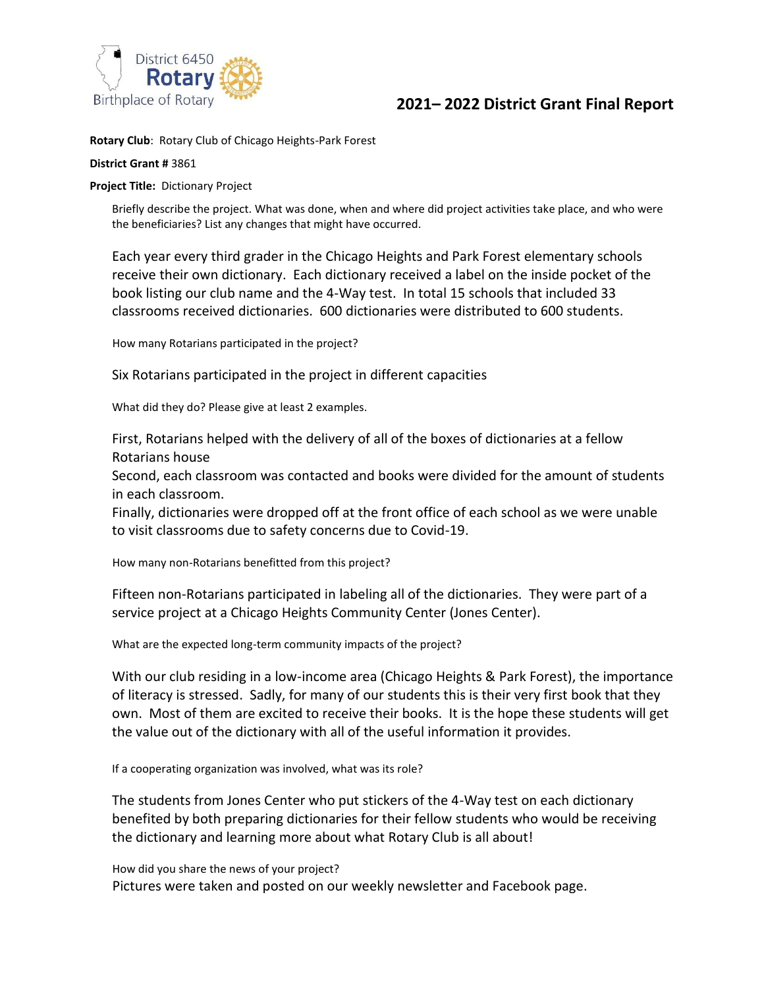

## **2021– 2022 District Grant Final Report**

**Rotary Club**: Rotary Club of Chicago Heights-Park Forest

## **District Grant #** 3861

**Project Title:** Dictionary Project

Briefly describe the project. What was done, when and where did project activities take place, and who were the beneficiaries? List any changes that might have occurred.

Each year every third grader in the Chicago Heights and Park Forest elementary schools receive their own dictionary. Each dictionary received a label on the inside pocket of the book listing our club name and the 4-Way test. In total 15 schools that included 33 classrooms received dictionaries. 600 dictionaries were distributed to 600 students.

How many Rotarians participated in the project?

Six Rotarians participated in the project in different capacities

What did they do? Please give at least 2 examples.

First, Rotarians helped with the delivery of all of the boxes of dictionaries at a fellow Rotarians house

Second, each classroom was contacted and books were divided for the amount of students in each classroom.

Finally, dictionaries were dropped off at the front office of each school as we were unable to visit classrooms due to safety concerns due to Covid-19.

How many non-Rotarians benefitted from this project?

Fifteen non-Rotarians participated in labeling all of the dictionaries. They were part of a service project at a Chicago Heights Community Center (Jones Center).

What are the expected long-term community impacts of the project?

With our club residing in a low-income area (Chicago Heights & Park Forest), the importance of literacy is stressed. Sadly, for many of our students this is their very first book that they own. Most of them are excited to receive their books. It is the hope these students will get the value out of the dictionary with all of the useful information it provides.

If a cooperating organization was involved, what was its role?

The students from Jones Center who put stickers of the 4-Way test on each dictionary benefited by both preparing dictionaries for their fellow students who would be receiving the dictionary and learning more about what Rotary Club is all about!

How did you share the news of your project? Pictures were taken and posted on our weekly newsletter and Facebook page.